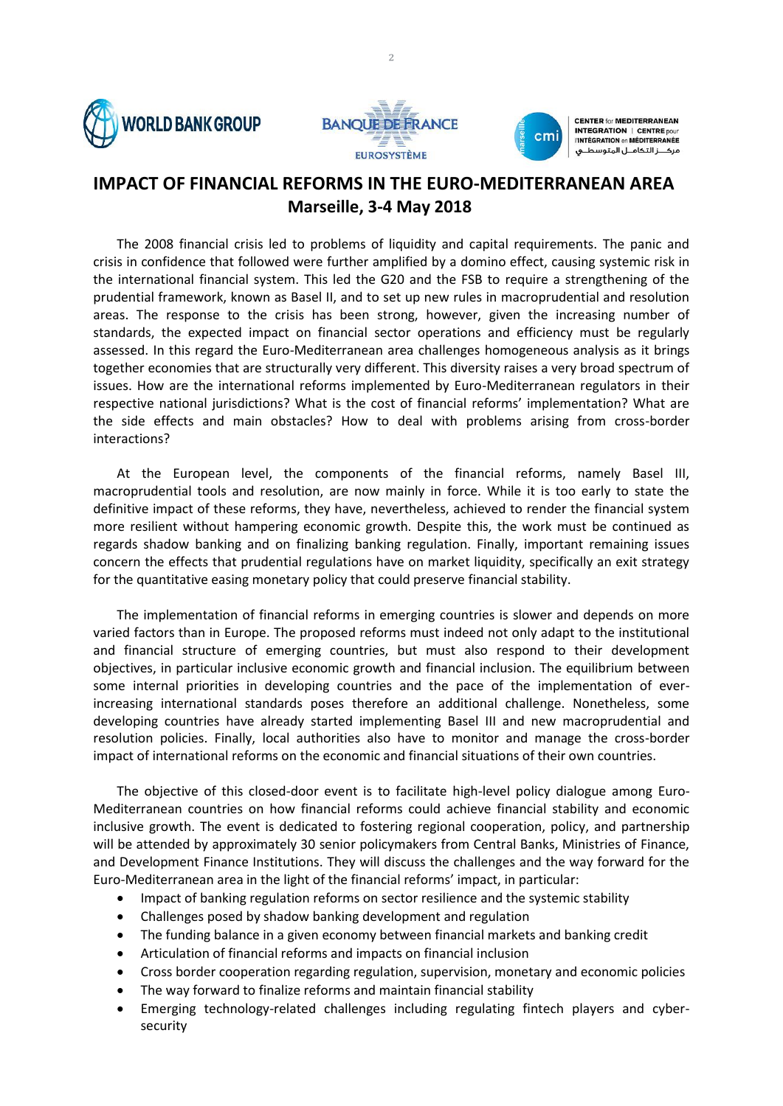





**CENTER for MEDITERRANEAN INTEGRATION | CENTRE DOUI TINTÉGRATION en MÉDITERRANÉE** مركـــز التكامــل المتوسط

## **IMPACT OF FINANCIAL REFORMS IN THE EURO-MEDITERRANEAN AREA Marseille, 3-4 May 2018**

The 2008 financial crisis led to problems of liquidity and capital requirements. The panic and crisis in confidence that followed were further amplified by a domino effect, causing systemic risk in the international financial system. This led the G20 and the FSB to require a strengthening of the prudential framework, known as Basel II, and to set up new rules in macroprudential and resolution areas. The response to the crisis has been strong, however, given the increasing number of standards, the expected impact on financial sector operations and efficiency must be regularly assessed. In this regard the Euro-Mediterranean area challenges homogeneous analysis as it brings together economies that are structurally very different. This diversity raises a very broad spectrum of issues. How are the international reforms implemented by Euro-Mediterranean regulators in their respective national jurisdictions? What is the cost of financial reforms' implementation? What are the side effects and main obstacles? How to deal with problems arising from cross-border interactions?

At the European level, the components of the financial reforms, namely Basel III, macroprudential tools and resolution, are now mainly in force. While it is too early to state the definitive impact of these reforms, they have, nevertheless, achieved to render the financial system more resilient without hampering economic growth. Despite this, the work must be continued as regards shadow banking and on finalizing banking regulation. Finally, important remaining issues concern the effects that prudential regulations have on market liquidity, specifically an exit strategy for the quantitative easing monetary policy that could preserve financial stability.

The implementation of financial reforms in emerging countries is slower and depends on more varied factors than in Europe. The proposed reforms must indeed not only adapt to the institutional and financial structure of emerging countries, but must also respond to their development objectives, in particular inclusive economic growth and financial inclusion. The equilibrium between some internal priorities in developing countries and the pace of the implementation of everincreasing international standards poses therefore an additional challenge. Nonetheless, some developing countries have already started implementing Basel III and new macroprudential and resolution policies. Finally, local authorities also have to monitor and manage the cross-border impact of international reforms on the economic and financial situations of their own countries.

The objective of this closed-door event is to facilitate high-level policy dialogue among Euro-Mediterranean countries on how financial reforms could achieve financial stability and economic inclusive growth. The event is dedicated to fostering regional cooperation, policy, and partnership will be attended by approximately 30 senior policymakers from Central Banks, Ministries of Finance, and Development Finance Institutions. They will discuss the challenges and the way forward for the Euro-Mediterranean area in the light of the financial reforms' impact, in particular:

- Impact of banking regulation reforms on sector resilience and the systemic stability
- Challenges posed by shadow banking development and regulation
- The funding balance in a given economy between financial markets and banking credit
- Articulation of financial reforms and impacts on financial inclusion
- Cross border cooperation regarding regulation, supervision, monetary and economic policies
- The way forward to finalize reforms and maintain financial stability
- Emerging technology-related challenges including regulating fintech players and cybersecurity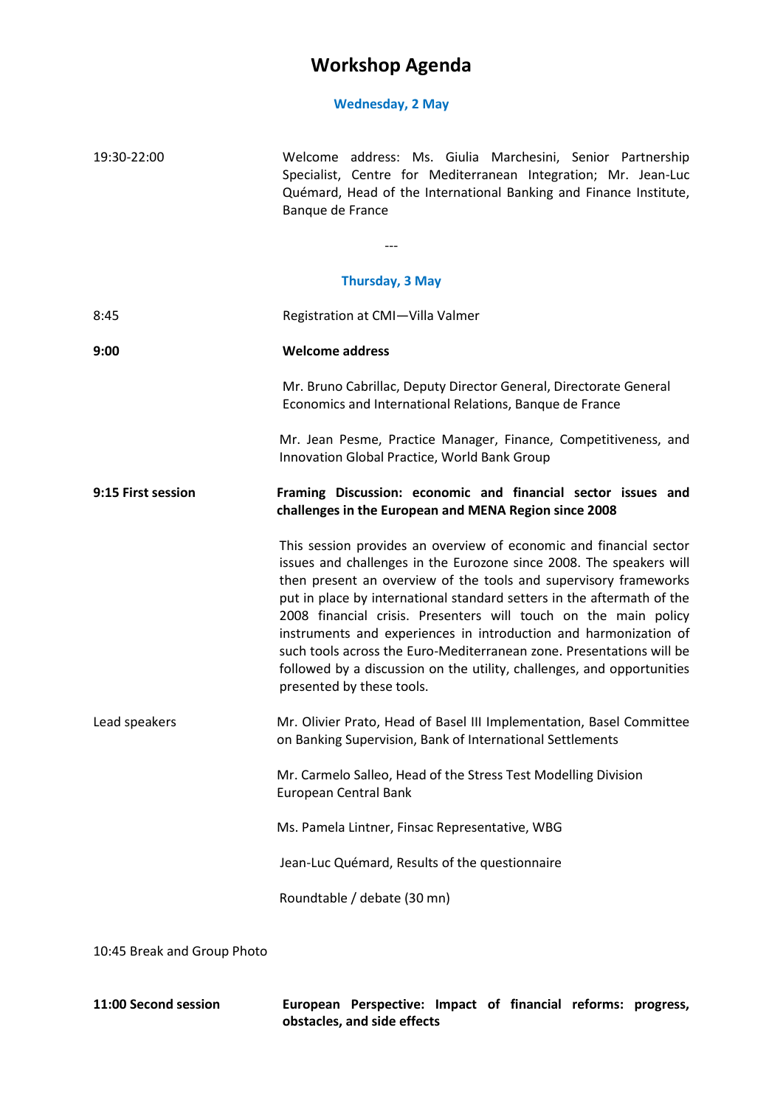## **Workshop Agenda**

## **Wednesday, 2 May**

| 19:30-22:00                 | Welcome address: Ms. Giulia Marchesini, Senior Partnership<br>Specialist, Centre for Mediterranean Integration; Mr. Jean-Luc<br>Quémard, Head of the International Banking and Finance Institute,<br>Banque de France                                                                                                                                                                                                                                                                                                                                                                                         |
|-----------------------------|---------------------------------------------------------------------------------------------------------------------------------------------------------------------------------------------------------------------------------------------------------------------------------------------------------------------------------------------------------------------------------------------------------------------------------------------------------------------------------------------------------------------------------------------------------------------------------------------------------------|
|                             |                                                                                                                                                                                                                                                                                                                                                                                                                                                                                                                                                                                                               |
|                             | <b>Thursday, 3 May</b>                                                                                                                                                                                                                                                                                                                                                                                                                                                                                                                                                                                        |
| 8:45                        | Registration at CMI-Villa Valmer                                                                                                                                                                                                                                                                                                                                                                                                                                                                                                                                                                              |
| 9:00                        | <b>Welcome address</b>                                                                                                                                                                                                                                                                                                                                                                                                                                                                                                                                                                                        |
|                             | Mr. Bruno Cabrillac, Deputy Director General, Directorate General<br>Economics and International Relations, Banque de France                                                                                                                                                                                                                                                                                                                                                                                                                                                                                  |
|                             | Mr. Jean Pesme, Practice Manager, Finance, Competitiveness, and<br>Innovation Global Practice, World Bank Group                                                                                                                                                                                                                                                                                                                                                                                                                                                                                               |
| 9:15 First session          | Framing Discussion: economic and financial sector issues and<br>challenges in the European and MENA Region since 2008                                                                                                                                                                                                                                                                                                                                                                                                                                                                                         |
|                             | This session provides an overview of economic and financial sector<br>issues and challenges in the Eurozone since 2008. The speakers will<br>then present an overview of the tools and supervisory frameworks<br>put in place by international standard setters in the aftermath of the<br>2008 financial crisis. Presenters will touch on the main policy<br>instruments and experiences in introduction and harmonization of<br>such tools across the Euro-Mediterranean zone. Presentations will be<br>followed by a discussion on the utility, challenges, and opportunities<br>presented by these tools. |
| Lead speakers               | Mr. Olivier Prato, Head of Basel III Implementation, Basel Committee<br>on Banking Supervision, Bank of International Settlements                                                                                                                                                                                                                                                                                                                                                                                                                                                                             |
|                             | Mr. Carmelo Salleo, Head of the Stress Test Modelling Division<br>European Central Bank                                                                                                                                                                                                                                                                                                                                                                                                                                                                                                                       |
|                             | Ms. Pamela Lintner, Finsac Representative, WBG                                                                                                                                                                                                                                                                                                                                                                                                                                                                                                                                                                |
|                             | Jean-Luc Quémard, Results of the questionnaire                                                                                                                                                                                                                                                                                                                                                                                                                                                                                                                                                                |
|                             | Roundtable / debate (30 mn)                                                                                                                                                                                                                                                                                                                                                                                                                                                                                                                                                                                   |
| 10:45 Break and Group Photo |                                                                                                                                                                                                                                                                                                                                                                                                                                                                                                                                                                                                               |

**11:00 Second session European Perspective: Impact of financial reforms: progress, obstacles, and side effects**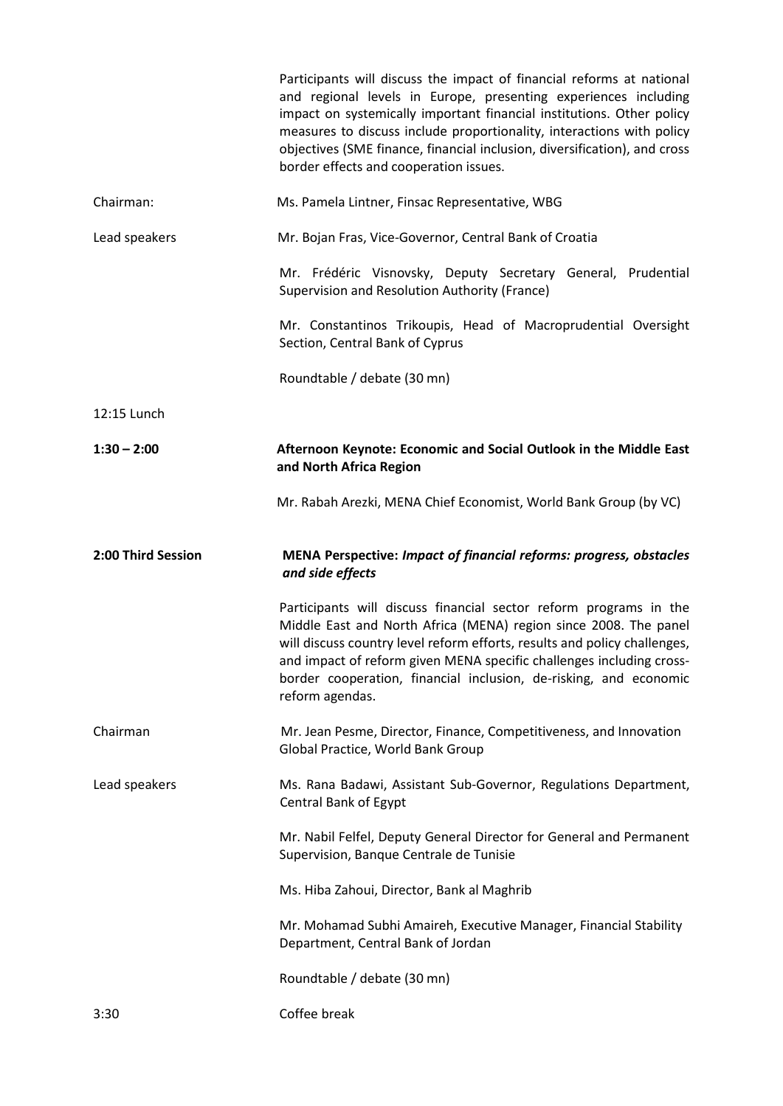|                    | Participants will discuss the impact of financial reforms at national<br>and regional levels in Europe, presenting experiences including<br>impact on systemically important financial institutions. Other policy<br>measures to discuss include proportionality, interactions with policy<br>objectives (SME finance, financial inclusion, diversification), and cross<br>border effects and cooperation issues. |
|--------------------|-------------------------------------------------------------------------------------------------------------------------------------------------------------------------------------------------------------------------------------------------------------------------------------------------------------------------------------------------------------------------------------------------------------------|
| Chairman:          | Ms. Pamela Lintner, Finsac Representative, WBG                                                                                                                                                                                                                                                                                                                                                                    |
| Lead speakers      | Mr. Bojan Fras, Vice-Governor, Central Bank of Croatia                                                                                                                                                                                                                                                                                                                                                            |
|                    | Mr. Frédéric Visnovsky, Deputy Secretary General, Prudential<br>Supervision and Resolution Authority (France)                                                                                                                                                                                                                                                                                                     |
|                    | Mr. Constantinos Trikoupis, Head of Macroprudential Oversight<br>Section, Central Bank of Cyprus                                                                                                                                                                                                                                                                                                                  |
|                    | Roundtable / debate (30 mn)                                                                                                                                                                                                                                                                                                                                                                                       |
| 12:15 Lunch        |                                                                                                                                                                                                                                                                                                                                                                                                                   |
| $1:30 - 2:00$      | Afternoon Keynote: Economic and Social Outlook in the Middle East<br>and North Africa Region                                                                                                                                                                                                                                                                                                                      |
|                    | Mr. Rabah Arezki, MENA Chief Economist, World Bank Group (by VC)                                                                                                                                                                                                                                                                                                                                                  |
|                    |                                                                                                                                                                                                                                                                                                                                                                                                                   |
| 2:00 Third Session | MENA Perspective: Impact of financial reforms: progress, obstacles<br>and side effects                                                                                                                                                                                                                                                                                                                            |
|                    | Participants will discuss financial sector reform programs in the<br>Middle East and North Africa (MENA) region since 2008. The panel<br>will discuss country level reform efforts, results and policy challenges,<br>and impact of reform given MENA specific challenges including cross-<br>border cooperation, financial inclusion, de-risking, and economic<br>reform agendas.                                |
| Chairman           | Mr. Jean Pesme, Director, Finance, Competitiveness, and Innovation<br>Global Practice, World Bank Group                                                                                                                                                                                                                                                                                                           |
| Lead speakers      | Ms. Rana Badawi, Assistant Sub-Governor, Regulations Department,<br>Central Bank of Egypt                                                                                                                                                                                                                                                                                                                         |
|                    | Mr. Nabil Felfel, Deputy General Director for General and Permanent<br>Supervision, Banque Centrale de Tunisie                                                                                                                                                                                                                                                                                                    |
|                    | Ms. Hiba Zahoui, Director, Bank al Maghrib                                                                                                                                                                                                                                                                                                                                                                        |
|                    | Mr. Mohamad Subhi Amaireh, Executive Manager, Financial Stability<br>Department, Central Bank of Jordan                                                                                                                                                                                                                                                                                                           |
|                    | Roundtable / debate (30 mn)                                                                                                                                                                                                                                                                                                                                                                                       |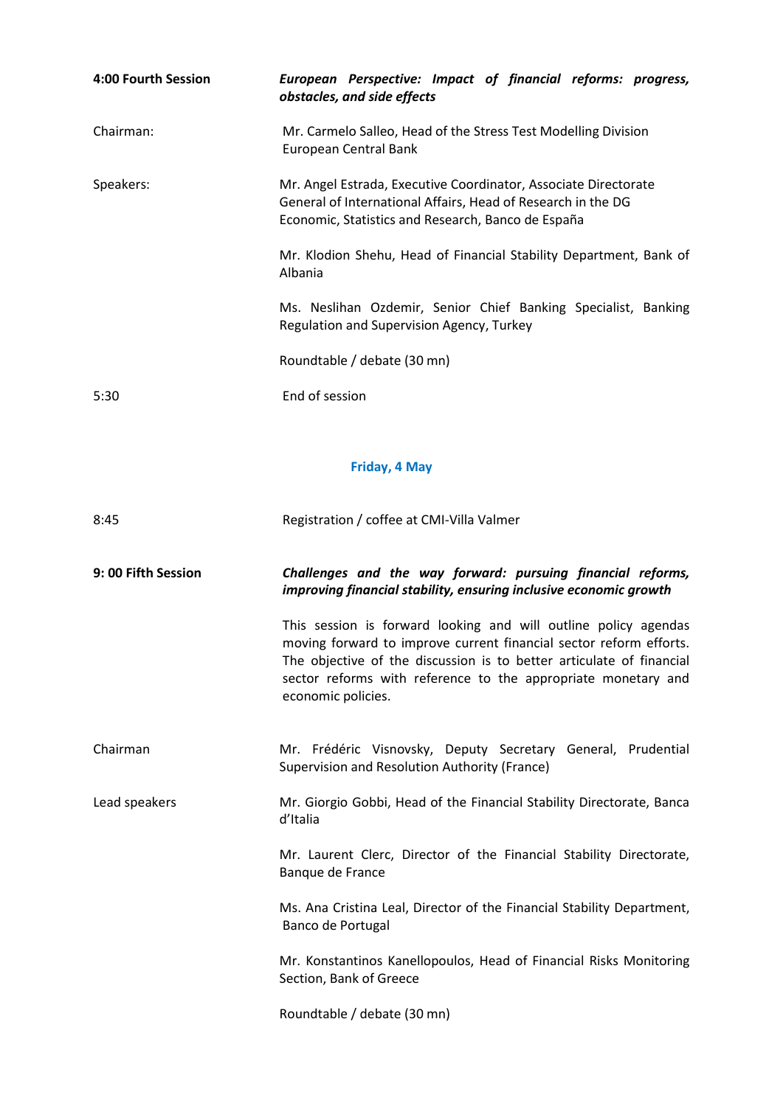| 4:00 Fourth Session | European Perspective: Impact of financial reforms: progress,<br>obstacles, and side effects                                                                                           |
|---------------------|---------------------------------------------------------------------------------------------------------------------------------------------------------------------------------------|
| Chairman:           | Mr. Carmelo Salleo, Head of the Stress Test Modelling Division<br>European Central Bank                                                                                               |
| Speakers:           | Mr. Angel Estrada, Executive Coordinator, Associate Directorate<br>General of International Affairs, Head of Research in the DG<br>Economic, Statistics and Research, Banco de España |
|                     | Mr. Klodion Shehu, Head of Financial Stability Department, Bank of<br>Albania                                                                                                         |
|                     | Ms. Neslihan Ozdemir, Senior Chief Banking Specialist, Banking<br>Regulation and Supervision Agency, Turkey                                                                           |
|                     | Roundtable / debate (30 mn)                                                                                                                                                           |
| 5:30                | End of session                                                                                                                                                                        |

## **Friday, 4 May**

| 8:45                | Registration / coffee at CMI-Villa Valmer                                                                                                                                                                                                                                                            |
|---------------------|------------------------------------------------------------------------------------------------------------------------------------------------------------------------------------------------------------------------------------------------------------------------------------------------------|
| 9: 00 Fifth Session | Challenges and the way forward: pursuing financial reforms,<br>improving financial stability, ensuring inclusive economic growth                                                                                                                                                                     |
|                     | This session is forward looking and will outline policy agendas<br>moving forward to improve current financial sector reform efforts.<br>The objective of the discussion is to better articulate of financial<br>sector reforms with reference to the appropriate monetary and<br>economic policies. |
| Chairman            | Mr. Frédéric Visnovsky, Deputy Secretary General, Prudential<br>Supervision and Resolution Authority (France)                                                                                                                                                                                        |
| Lead speakers       | Mr. Giorgio Gobbi, Head of the Financial Stability Directorate, Banca<br>d'Italia                                                                                                                                                                                                                    |
|                     | Mr. Laurent Clerc, Director of the Financial Stability Directorate,<br>Banque de France                                                                                                                                                                                                              |
|                     | Ms. Ana Cristina Leal, Director of the Financial Stability Department,<br>Banco de Portugal                                                                                                                                                                                                          |
|                     | Mr. Konstantinos Kanellopoulos, Head of Financial Risks Monitoring<br>Section, Bank of Greece                                                                                                                                                                                                        |
|                     | Roundtable / debate (30 mn)                                                                                                                                                                                                                                                                          |